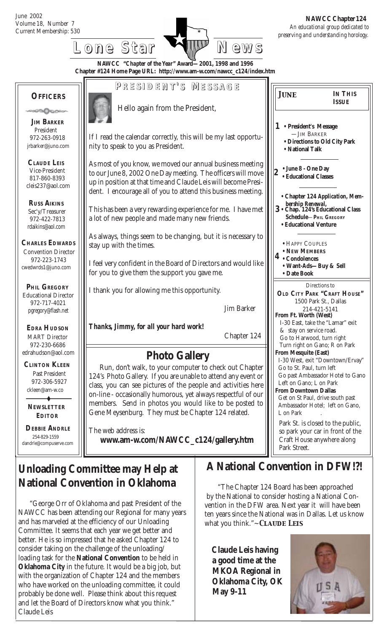June 2002 Volume 18, Number 7

 *preserving and understanding horology.*  **NAWCC Chapter 124**

> **IN THIS ISSUE**

**• Chapter 124** *Application, Mem-*

**3 • Chap. 124's Educational Class**

 **Schedule**—**PHIL GREGORY • Educational Venture**

 *bership Renewal,*

**•** HAPPY COUPLES **• NEW MEMBERS**

**• Want-Ads—Buy & Sell**

Directions to **OLD CITY PARK "CRAFT HOUSE"** 1500 Park St., Dallas 214-421-5141

 I-30 East, take the "Lamar" exit & stay on service road. Go to Harwood, turn right Turn right on Gano; R on Park

I-30 West, exit "Downtown/Ervay"

Go past Ambassador Hotel to Gano

 Get on St Paul, drive south past Ambassador Hotel; left on Gano,

Park St. is closed to the public, so park your car in front of the Craft House anywhere along



 **RUSS AIKINS** Sec'y/Treasurer 972-422-7813 rdaikins@aol.com

cleis237@aol.com

President

**CHARLES EDWARDS** Convention Director 972-223-1743 cwedwrds1@juno.com

 **PHIL GREGORY** Educational Director 972-717-4021 pgregory@flash.net

 **EDRA HUDSON** MART Director 972-230-6686 edrahudson@aol.com

 **CLINTON KLEEN** Past President 972-306-5927 ckleen@am-w.co

 **NEWSLETTER EDITOR**

 $\ddot{\bullet}$ 

 **DEBBIE ANDRLE** 254-829-1559 dandrle@compuserve.com

This has been a very rewarding experience for me. I have met a lot of new people and made many new friends.

up in position at that time and Claude Leis will become President. I encourage all of you to attend this business meeting.

As always, things seem to be changing, but it is necessary to stay up with the times.

I feel very confident in the Board of Directors and would like for you to give them the support you gave me.

I thank you for allowing me this opportunity.

Jim Barker

*Thanks, Jimmy, for all your hard work!*

Chapter 124

### **Photo Gallery**

Run, don't walk, to your computer to check out Chapter 124's Photo Gallery. If you are unable to attend any event or class, you can see pictures of the people and activities here on-line - occasionally humorous, yet always respectful of our members. Send in photos you would like to be posted to Gene Meysenburg. They must be Chapter 124 related.

The web address is: **www.am-w.com/NAWCC\_c124/gallery.htm**

### **Unloading Committee may Help at National Convention in Oklahoma**

"George Orr of Oklahoma and past President of the NAWCC has been attending our Regional for many years and has marveled at the efficiency of our Unloading Committee. It seems that each year we get better and better. He is so impressed that he asked Chapter 124 to consider taking on the challenge of the unloading/ loading task for the **National Convention** to be held in **Oklahoma City** in the future. It would be a big job, but with the organization of Chapter 124 and the members who have worked on the unloading committee, it could probably be done well. Please think about this request and let the Board of Directors know what you think." Claude Leis

## **A National Convention in DFW!?!**

L on Park

Park Street.

**4 • Condolences**

**• Date Book**

**From Ft. Worth (West)**

**From Mesquite (East)**

Go to St. Paul, turn left

 Left on Gano; L on Park **From Downtown Dallas**

 "The Chapter 124 Board has been approached by the National to consider hosting a National Convention in the DFW area. Next year it will have been ten years since the National was in Dallas. Let us know what you think."~ *Claude Leis*

**Claude Leis having a good time at the MKOA Regional in Oklahoma City, OK May 9-11**

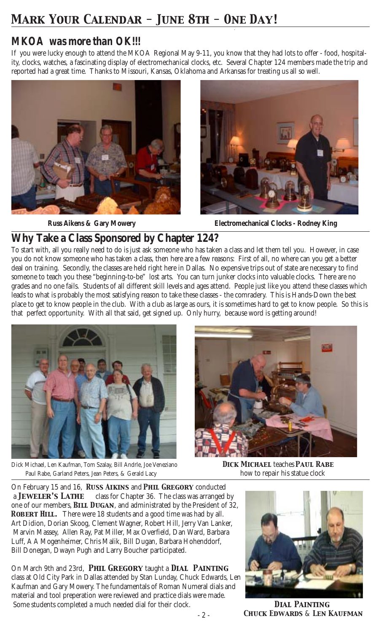# *Mark Your Calendar - June 8th - One Day!*

### *MKOA was more than OK!!!*

If you were lucky enough to attend the MKOA Regional May 9-11, you know that they had lots to offer - food, hospitality, clocks, watches, a fascinating display of electromechanical clocks, etc. Several Chapter 124 members made the trip and reported had a great time. Thanks to Missouri, Kansas, Oklahoma and Arkansas for treating us all so well.







 **Russ Aikens & Gary Mowery Electromechanical Clocks - Rodney King**

### **Why Take a Class Sponsored by Chapter 124?**

To start with, all you really need to do is just ask someone who has taken a class and let them tell you. However, in case you do not know someone who has taken a class, then here are a few reasons: First of all, no where can you get a better deal on training. Secondly, the classes are held right here in Dallas. No expensive trips out of state are necessary to find someone to teach you these "beginning-to-be" lost arts. You can turn junker clocks into valuable clocks. There are no grades and no one fails. Students of all different skill levels and ages attend. People just like you attend these classes which leads to what is probably the most satisfying reason to take these classes - the comradery. This is Hands-Down the best place to get to know people in the club. With a club as large as ours, it is sometimes hard to get to know people. So this is that perfect opportunity. With all that said, get signed up. Only hurry, because word is getting around!



Dick Michael, Len Kaufman, Tom Szalay, Bill Andrle, Joe Veneziano *Dick Michael* teaches *Paul Rabe* Paul Rabe, Garland Peters, Jean Peters, & Gerald Lacy how to repair his statue clock



On February 15 and 16, *Russ Aikins* and *Phil Gregory* conducted a *Jeweler's Lathe* class for Chapter 36. The class was arranged by one of our members, *Bill Dugan*, and administrated by the President of 32, **ROBERT HILL.** There were 18 students and a good time was had by all. Art Didion, Dorian Skoog, Clement Wagner, Robert Hill, Jerry Van Lanker, Marvin Massey, Allen Ray, Pat Miller, Max Overfield, Dan Ward, Barbara Luff, A A Mogenheimer, Chris Malik, Bill Dugan, Barbara Hohenddorf, Bill Donegan, Dwayn Pugh and Larry Boucher participated.

On March 9th and 23rd, *Phil Gregory* taught a *Dial Painting* class at Old City Park in Dallas attended by Stan Lunday, Chuck Edwards, Len Kaufman and Gary Mowery. The fundamentals of Roman Numeral dials and material and tool preperation were reviewed and practice dials were made. Some students completed a much needed dial for their clock. **DIAL PAINTING** 



 *Chuck Edwards* & *Len Kaufman*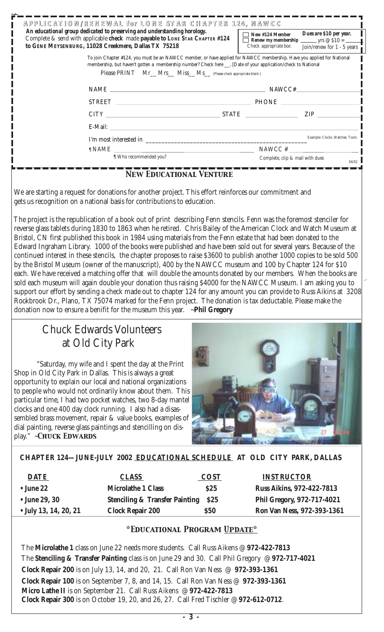| APPLICATION/RENEWAL for LONE STAR CHAPTER 124, NAWCC<br>An educational group dedicated to preserving and understanding horology.<br>Complete & send with applicable check made payable to LONE STAR CHAPTER #124<br>to GENE MEYSENBURG, 11028 Creekmere, Dallas TX 75218                                  | Dues are \$10 per year.<br>New #124 Member<br>Check appropriate box:<br>Join/renew for $1 - 5$ years |  |  |  |
|-----------------------------------------------------------------------------------------------------------------------------------------------------------------------------------------------------------------------------------------------------------------------------------------------------------|------------------------------------------------------------------------------------------------------|--|--|--|
| To join Chapter #124, you must be an NAWCC member, or have applied for NAWCC membership. Have you applied for National<br>membership, but haven't gotten a membership number? Check here __, [Date of your application/check to National<br>Please PRINT Mr_Mrs_Miss_Ms_(Please check appropriate blank.) |                                                                                                      |  |  |  |
| NAME SERVICE STATES AND THE STATES OF THE STATES OF THE STATES OF THE STATES OF THE STATES OF THE STATES OF THE STATES OF THE STATES OF THE STATES OF THE STATES OF THE STATES OF THE STATES OF THE STATES OF THE STATES OF TH<br>NAWCC#                                                                  |                                                                                                      |  |  |  |
|                                                                                                                                                                                                                                                                                                           |                                                                                                      |  |  |  |
|                                                                                                                                                                                                                                                                                                           | <b>ZIP</b>                                                                                           |  |  |  |
| E-Mail: <u>E-Mail:</u>                                                                                                                                                                                                                                                                                    |                                                                                                      |  |  |  |
| I'm most interested in                                                                                                                                                                                                                                                                                    | Example: Clocks. Watches. Tools                                                                      |  |  |  |
| $\n  EXAMPLE  \n  EXAMPLE  \n  EXAMPLE  \n  EXAMPLE  \n  EXAMPLE  \n  EXAMPLE  \n  EXAMPLE  \n  EXAMPLE  \n  EXAMPLE  \n  EXAMPLE  \n  EXAMPLE  \n  EXAMPLE  \n  EXAMPLE  \n  EXAMPLE  \n  EXAMPLE  \n  EXAMPLE  \n  EXAMPLE  \n  EXAMPLE  \n  EXAMPLE  \n  EXAMPLE  \$                                   | $NAWCC \#$                                                                                           |  |  |  |
| I Who recommended you?<br>$\mathbf{M}$ ms $\mathbf{M}$ . En sto $\mathbf{M}$ mso $\mathbf{M}$ s $\mathbf{M}$ ms $\mathbf{M}$                                                                                                                                                                              | Complete, clip & mail with dues<br>04/02                                                             |  |  |  |

#### *New Educational Venture*

 We are starting a request for donations for another project. This effort reinforces our commitment and gets us recognition on a national basis for contributions to education.

 The project is the republication of a book out of print describing Fenn stencils. Fenn was the foremost stenciler for reverse glass tablets during 1830 to 1863 when he retired. Chris Bailey of the American Clock and Watch Museum at Bristol, CN first published this book in 1984 using materials from the Fenn estate that had been donated to the Edward Ingraham Library. 1000 of the books were published and have been sold out for several years. Because of the continued interest in these stencils, the chapter proposes to raise \$3600 to publish another 1000 copies to be sold 500 by the Bristol Museum (owner of the manuscript), 400 by the NAWCC museum and 100 by Chapter 124 for \$10 each. We have received a matching offer that will double the amounts donated by our members. When the books are sold each museum will again double your donation thus raising \$4000 for the NAWCC Museum. I am asking you to support our effort by sending a check made out to chapter 124 for any amount you can provide to Russ Aikins at 3208 Rockbrook Dr., Plano, TX 75074 marked for the Fenn project. The donation is tax deductable. Please make the donation now to ensure a benifit for the museum this year. ~**Phil Gregory**

#### Chuck Edwards Volunteers at Old City Park

"Saturday, my wife and I spent the day at the Print Shop in Old City Park in Dallas. This is always a great opportunity to explain our local and national organizations to people who would not ordinarily know about them. This particular time, I had two pocket watches, two 8-day mantel clocks and one 400 day clock running. I also had a disassembled brass movement, repair & value books, examples of dial painting, reverse glass paintings and stencilling on display." ~*Chuck Edwards*



#### **CHAPTER 124—JUNE-JULY 2002 EDUCATIONAL SCHEDULE AT OLD CITY PARK, DALLAS**

| <b>DATE</b>                   | <b>CLASS</b>                                   | <b>COST</b> | <b>INSTRUCTOR</b>                |
|-------------------------------|------------------------------------------------|-------------|----------------------------------|
| $\bullet$ June 22             | <b>Microlathe 1 Class</b>                      | \$25        | <b>Russ Aikins, 972-422-7813</b> |
| $\bullet$ June 29, 30         | <b>Stenciling &amp; Transfer Painting \$25</b> |             | Phil Gregory, 972-717-4021       |
| $\bullet$ July 13, 14, 20, 21 | <b>Clock Repair 200</b>                        | <b>\$50</b> | Ron Van Ness, 972-393-1361       |

#### *\*Educational Program Update\**

 The **Microlathe 1** class on June 22 needs more students. Call Russ Aikens @ **972-422-7813** The **Stenciling & Transfer Painting** class is on June 29 and 30. Call Phil Gregory @ **972-717-4021 Clock Repair 200** is on July 13, 14, and 20, 21. Call Ron Van Ness @ **972-393-1361 Clock Repair 100** is on September 7, 8, and 14, 15. Call Ron Van Ness @ **972-393-1361 Micro Lathe II** is on September 21. Call Russ Aikens @ **972-422-7813 Clock Repair 300** is on October 19, 20, and 26, 27. Call Fred Tischler @ **972-612-0712**.